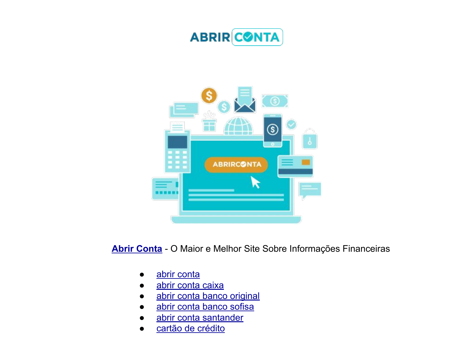



[Abrir Conta](https://abrirconta.org/) - O Maior e Melhor Site Sobre Informações Financeiras

- [abrir conta](https://abrirconta.org/)
- [abrir conta caixa](https://abrirconta.org/)
- [abrir conta banco original](https://abrirconta.org/)
- [abrir conta banco sofisa](https://abrirconta.org/)
- [abrir conta santander](https://abrirconta.org/)
- [cartão de crédito](https://abrirconta.org/)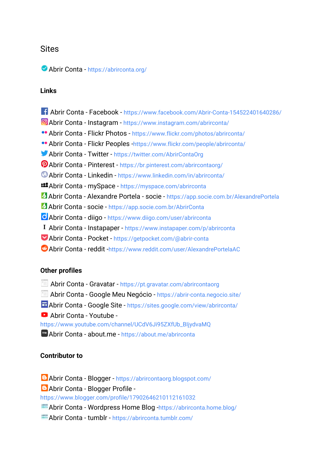# **Sites**

#### Abrir Conta - <https://abrirconta.org/>

#### Links

- Abrir Conta Facebook <https://www.facebook.com/Abrir-Conta-154522401640286/>
- Abrir Conta Instagram <https://www.instagram.com/abrirconta/>
- Abrir Conta Flickr Photos <https://www.flickr.com/photos/abrirconta/>
- Abrir Conta Flickr Peoples -<https://www.flickr.com/people/abrirconta/>
- Abrir Conta Twitter -<https://twitter.com/AbrirContaOrg>
- Abrir Conta Pinterest <https://br.pinterest.com/abrircontaorg/>
- Abrir Conta Linkedin <https://www.linkedin.com/in/abrirconta/>
- Abrir Conta mySpace -<https://myspace.com/abrirconta>
- Abrir Conta Alexandre Portela socie <https://app.socie.com.br/AlexandrePortela>
- Abrir Conta socie <https://app.socie.com.br/AbrirConta>
- Abrir Conta diigo -<https://www.diigo.com/user/abrirconta>
- Abrir Conta Instapaper <https://www.instapaper.com/p/abrirconta>
- Abrir Conta Pocket -<https://getpocket.com/@abrir-conta>
- Abrir Conta reddit -<https://www.reddit.com/user/AlexandrePortelaAC>

#### Other profiles

- Abrir Conta Gravatar <https://pt.gravatar.com/abrircontaorg>
- Abrir Conta Google Meu Negócio <https://abrir-conta.negocio.site/>
- Abrir Conta Google Site -<https://sites.google.com/view/abrirconta/>
- Abrir Conta Youtube -

[https://www.youtube.com/channel/UCdV6Ji95ZXfUb\\_BIjydvaMQ](https://www.youtube.com/channel/UCdV6Ji95ZXfUb_BIjydvaMQ)

**m** Abrir Conta - about.me - <https://about.me/abrirconta>

## Contributor to

Abrir Conta - Blogger -<https://abrircontaorg.blogspot.com/>

Abrir Conta - Blogger Profile -

<https://www.blogger.com/profile/17902646210112161032>

Abrir Conta - Wordpress Home Blog [-https://abrirconta.home.blog/](https://abrirconta.home.blog/)

Abrir Conta - tumblr -<https://abrirconta.tumblr.com/>